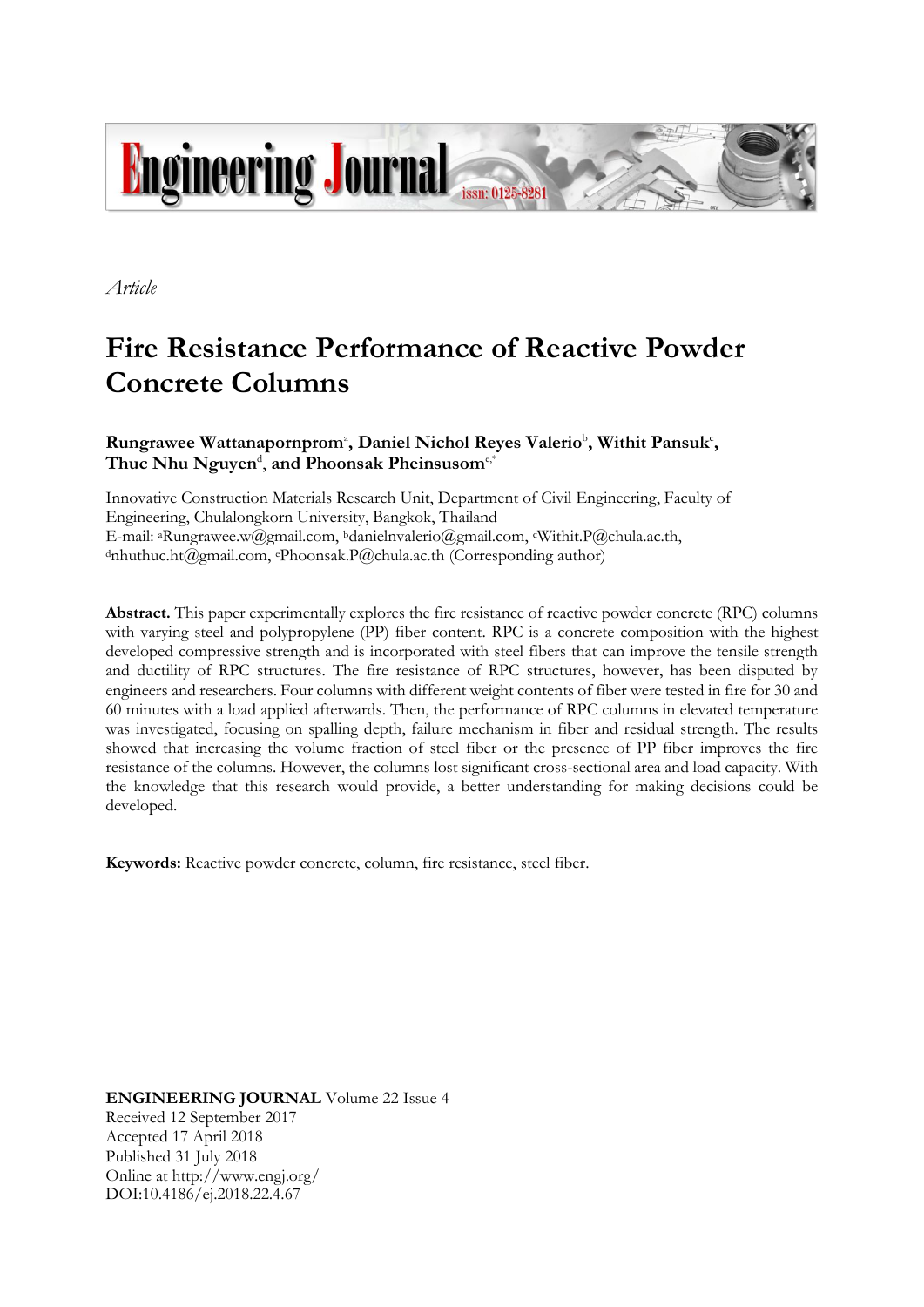

*Article*

# **Fire Resistance Performance of Reactive Powder Concrete Columns**

## Rungrawee Wattanapornprom<sup>a</sup>, Daniel Nichol Reyes Valerio<sup>b</sup>, Withit Pansuk<sup>c</sup>, **Thuc Nhu Nguyen**<sup>d</sup> , **and Phoonsak Pheinsusom**e,\*

Innovative Construction Materials Research Unit, Department of Civil Engineering, Faculty of Engineering, Chulalongkorn University, Bangkok, Thailand E-mail: <sup>a</sup>Rungrawee.w@gmail.com, bdanielnvalerio@gmail.com, cWithit.P@chula.ac.th, dnhuthuc.ht@gmail.com, ePhoonsak.P@chula.ac.th (Corresponding author)

**Abstract.** This paper experimentally explores the fire resistance of reactive powder concrete (RPC) columns with varying steel and polypropylene (PP) fiber content. RPC is a concrete composition with the highest developed compressive strength and is incorporated with steel fibers that can improve the tensile strength and ductility of RPC structures. The fire resistance of RPC structures, however, has been disputed by engineers and researchers. Four columns with different weight contents of fiber were tested in fire for 30 and 60 minutes with a load applied afterwards. Then, the performance of RPC columns in elevated temperature was investigated, focusing on spalling depth, failure mechanism in fiber and residual strength. The results showed that increasing the volume fraction of steel fiber or the presence of PP fiber improves the fire resistance of the columns. However, the columns lost significant cross-sectional area and load capacity. With the knowledge that this research would provide, a better understanding for making decisions could be developed.

**Keywords:** Reactive powder concrete, column, fire resistance, steel fiber.

**ENGINEERING JOURNAL** Volume 22 Issue 4 Received 12 September 2017 Accepted 17 April 2018 Published 31 July 2018 Online at http://www.engj.org/ DOI:10.4186/ej.2018.22.4.67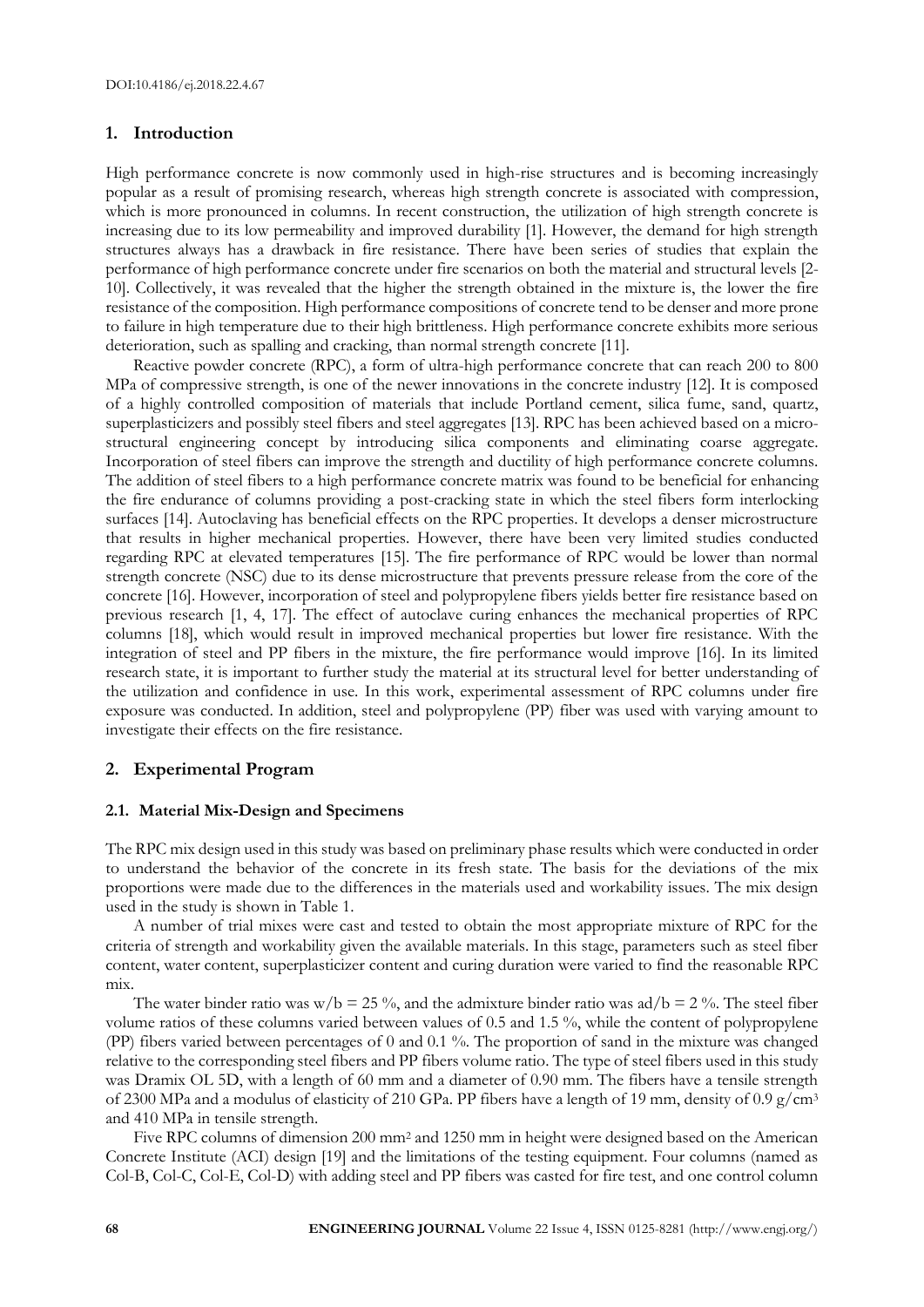## **1. Introduction**

High performance concrete is now commonly used in high-rise structures and is becoming increasingly popular as a result of promising research, whereas high strength concrete is associated with compression, which is more pronounced in columns. In recent construction, the utilization of high strength concrete is increasing due to its low permeability and improved durability [1]. However, the demand for high strength structures always has a drawback in fire resistance. There have been series of studies that explain the performance of high performance concrete under fire scenarios on both the material and structural levels [2- 10]. Collectively, it was revealed that the higher the strength obtained in the mixture is, the lower the fire resistance of the composition. High performance compositions of concrete tend to be denser and more prone to failure in high temperature due to their high brittleness. High performance concrete exhibits more serious deterioration, such as spalling and cracking, than normal strength concrete [11].

Reactive powder concrete (RPC), a form of ultra-high performance concrete that can reach 200 to 800 MPa of compressive strength, is one of the newer innovations in the concrete industry [12]. It is composed of a highly controlled composition of materials that include Portland cement, silica fume, sand, quartz, superplasticizers and possibly steel fibers and steel aggregates [13]. RPC has been achieved based on a microstructural engineering concept by introducing silica components and eliminating coarse aggregate. Incorporation of steel fibers can improve the strength and ductility of high performance concrete columns. The addition of steel fibers to a high performance concrete matrix was found to be beneficial for enhancing the fire endurance of columns providing a post-cracking state in which the steel fibers form interlocking surfaces [14]. Autoclaving has beneficial effects on the RPC properties. It develops a denser microstructure that results in higher mechanical properties. However, there have been very limited studies conducted regarding RPC at elevated temperatures [15]. The fire performance of RPC would be lower than normal strength concrete (NSC) due to its dense microstructure that prevents pressure release from the core of the concrete [16]. However, incorporation of steel and polypropylene fibers yields better fire resistance based on previous research [1, 4, 17]. The effect of autoclave curing enhances the mechanical properties of RPC columns [18], which would result in improved mechanical properties but lower fire resistance. With the integration of steel and PP fibers in the mixture, the fire performance would improve [16]. In its limited research state, it is important to further study the material at its structural level for better understanding of the utilization and confidence in use. In this work, experimental assessment of RPC columns under fire exposure was conducted. In addition, steel and polypropylene (PP) fiber was used with varying amount to investigate their effects on the fire resistance.

## **2. Experimental Program**

## **2.1. Material Mix-Design and Specimens**

The RPC mix design used in this study was based on preliminary phase results which were conducted in order to understand the behavior of the concrete in its fresh state. The basis for the deviations of the mix proportions were made due to the differences in the materials used and workability issues. The mix design used in the study is shown in Table 1.

A number of trial mixes were cast and tested to obtain the most appropriate mixture of RPC for the criteria of strength and workability given the available materials. In this stage, parameters such as steel fiber content, water content, superplasticizer content and curing duration were varied to find the reasonable RPC mix.

The water binder ratio was w/b = 25 %, and the admixture binder ratio was ad/b = 2 %. The steel fiber volume ratios of these columns varied between values of 0.5 and 1.5 %, while the content of polypropylene (PP) fibers varied between percentages of 0 and 0.1 %. The proportion of sand in the mixture was changed relative to the corresponding steel fibers and PP fibers volume ratio. The type of steel fibers used in this study was Dramix OL 5D, with a length of 60 mm and a diameter of 0.90 mm. The fibers have a tensile strength of 2300 MPa and a modulus of elasticity of 210 GPa. PP fibers have a length of 19 mm, density of 0.9 g/cm<sup>3</sup> and 410 MPa in tensile strength.

Five RPC columns of dimension 200 mm<sup>2</sup> and 1250 mm in height were designed based on the American Concrete Institute (ACI) design [19] and the limitations of the testing equipment. Four columns (named as Col-B, Col-C, Col-E, Col-D) with adding steel and PP fibers was casted for fire test, and one control column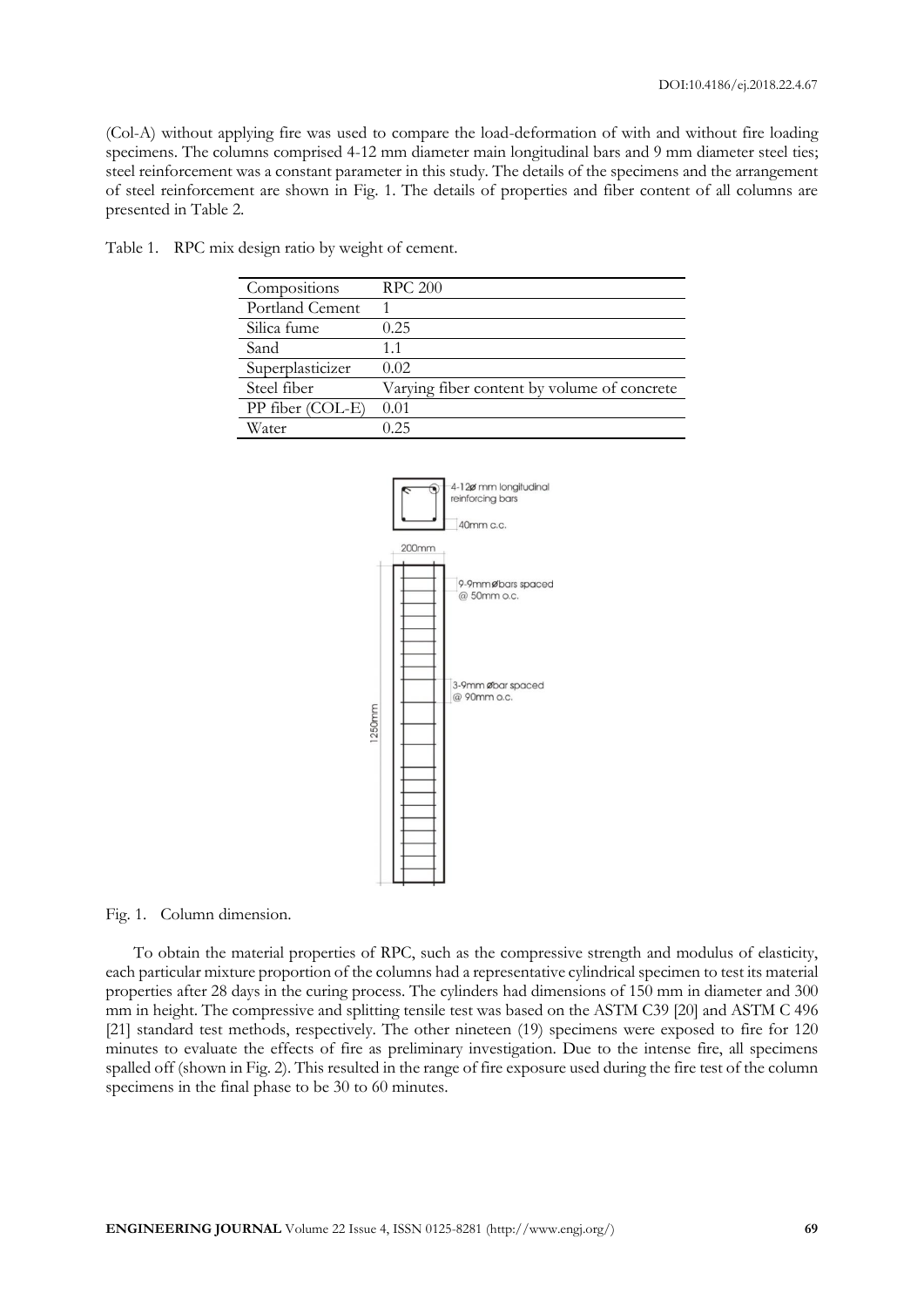(Col-A) without applying fire was used to compare the load-deformation of with and without fire loading specimens. The columns comprised 4-12 mm diameter main longitudinal bars and 9 mm diameter steel ties; steel reinforcement was a constant parameter in this study. The details of the specimens and the arrangement of steel reinforcement are shown in Fig. 1. The details of properties and fiber content of all columns are presented in Table 2.

| Table 1. RPC mix design ratio by weight of cement. |  |  |  |
|----------------------------------------------------|--|--|--|
|                                                    |  |  |  |

| Compositions     | <b>RPC 200</b>                              |
|------------------|---------------------------------------------|
| Portland Cement  |                                             |
| Silica fume      | 0.25                                        |
| Sand             | 1.1                                         |
| Superplasticizer | 0.02                                        |
| Steel fiber      | Varying fiber content by volume of concrete |
| PP fiber (COL-E) | 0.01                                        |
| Water            | 0 25                                        |



Fig. 1. Column dimension.

To obtain the material properties of RPC, such as the compressive strength and modulus of elasticity, each particular mixture proportion of the columns had a representative cylindrical specimen to test its material properties after 28 days in the curing process. The cylinders had dimensions of 150 mm in diameter and 300 mm in height. The compressive and splitting tensile test was based on the ASTM C39 [20] and ASTM C 496 [21] standard test methods, respectively. The other nineteen (19) specimens were exposed to fire for 120 minutes to evaluate the effects of fire as preliminary investigation. Due to the intense fire, all specimens spalled off (shown in Fig. 2). This resulted in the range of fire exposure used during the fire test of the column specimens in the final phase to be 30 to 60 minutes.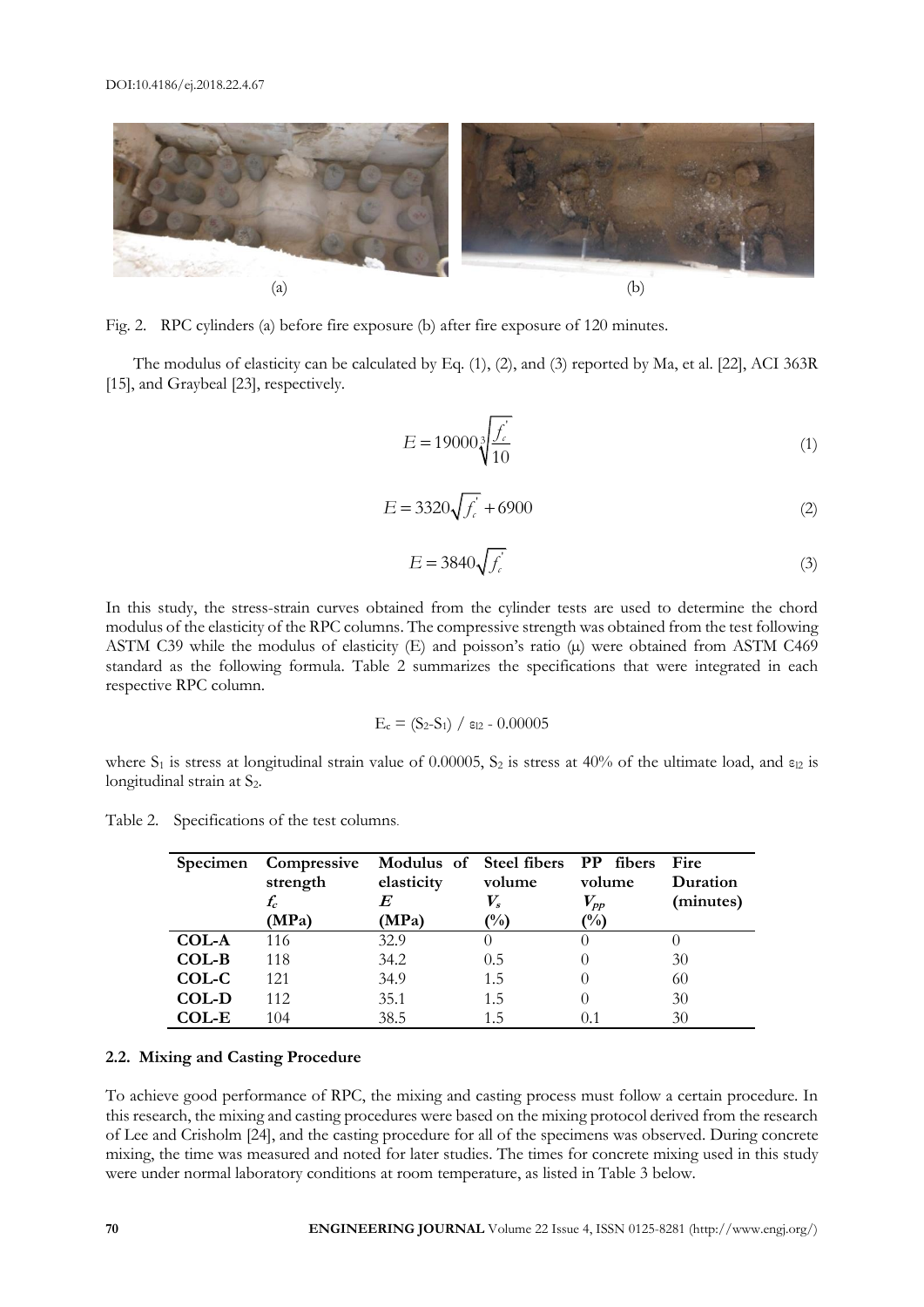

Fig. 2. RPC cylinders (a) before fire exposure (b) after fire exposure of 120 minutes.

The modulus of elasticity can be calculated by Eq. (1), (2), and (3) reported by Ma, et al. [22], ACI 363R [15], and Graybeal [23], respectively.

$$
E = 19000 \sqrt[3]{\frac{f_c'}{10}}
$$
 (1)

$$
E = 3320\sqrt{f_c} + 6900\tag{2}
$$

$$
E = 3840 \sqrt{f_e} \tag{3}
$$

In this study, the stress-strain curves obtained from the cylinder tests are used to determine the chord modulus of the elasticity of the RPC columns. The compressive strength was obtained from the test following ASTM C39 while the modulus of elasticity  $(E)$  and poisson's ratio  $(\mu)$  were obtained from ASTM C469 standard as the following formula. Table 2 summarizes the specifications that were integrated in each respective RPC column.

$$
E_c = (S_2 - S_1) / \epsilon_{12} - 0.00005
$$

where  $S_1$  is stress at longitudinal strain value of 0.00005,  $S_2$  is stress at 40% of the ultimate load, and  $\varepsilon_{12}$  is longitudinal strain at S<sub>2</sub>.

Table 2. Specifications of the test columns.

| <b>Specimen</b> | Compressive<br>strength | Modulus of Steel fibers PP fibers<br>elasticity | volume           | volume        | Fire<br>Duration |
|-----------------|-------------------------|-------------------------------------------------|------------------|---------------|------------------|
|                 | $f_c$                   |                                                 | $V_s$            | $V_{\it pp}$  | (minutes)        |
|                 | (MPa)                   | (MPa)                                           | $\frac{1}{2}$    | $\frac{1}{2}$ |                  |
| COL-A           | 116                     | 32.9                                            | $\left( \right)$ |               |                  |
| COL-B           | 118                     | 34.2                                            | 0.5              |               | 30               |
| COL-C           | 121                     | 34.9                                            | 1.5              |               | 60               |
| COL-D           | 112                     | 35.1                                            | 1.5              |               | 30               |
| <b>COL-E</b>    | 104                     | 38.5                                            | 15               |               | 30               |

#### **2.2. Mixing and Casting Procedure**

To achieve good performance of RPC, the mixing and casting process must follow a certain procedure. In this research, the mixing and casting procedures were based on the mixing protocol derived from the research of Lee and Crisholm [24], and the casting procedure for all of the specimens was observed. During concrete mixing, the time was measured and noted for later studies. The times for concrete mixing used in this study were under normal laboratory conditions at room temperature, as listed in Table 3 below.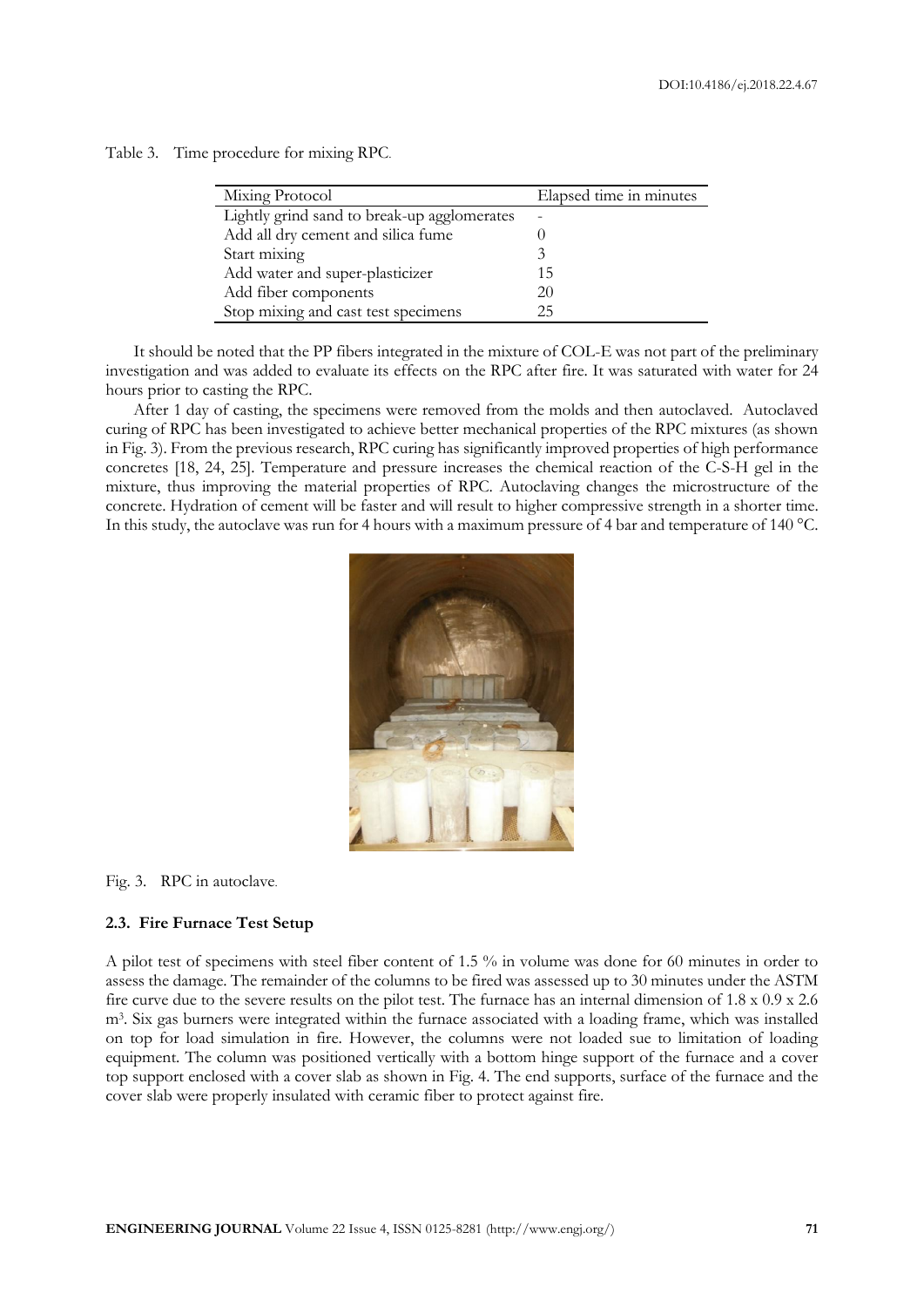| Table 3. | Time procedure for mixing RPC. |  |  |
|----------|--------------------------------|--|--|
|          |                                |  |  |

| Mixing Protocol                             | Elapsed time in minutes |
|---------------------------------------------|-------------------------|
| Lightly grind sand to break-up agglomerates |                         |
| Add all dry cement and silica fume          |                         |
| Start mixing                                |                         |
| Add water and super-plasticizer             | 15                      |
| Add fiber components                        | 20                      |
| Stop mixing and cast test specimens         | 25                      |

It should be noted that the PP fibers integrated in the mixture of COL-E was not part of the preliminary investigation and was added to evaluate its effects on the RPC after fire. It was saturated with water for 24 hours prior to casting the RPC.

After 1 day of casting, the specimens were removed from the molds and then autoclaved. Autoclaved curing of RPC has been investigated to achieve better mechanical properties of the RPC mixtures (as shown in Fig. 3). From the previous research, RPC curing has significantly improved properties of high performance concretes [18, 24, 25]. Temperature and pressure increases the chemical reaction of the C-S-H gel in the mixture, thus improving the material properties of RPC. Autoclaving changes the microstructure of the concrete. Hydration of cement will be faster and will result to higher compressive strength in a shorter time. In this study, the autoclave was run for 4 hours with a maximum pressure of 4 bar and temperature of 140 °C.



Fig. 3. RPC in autoclave.

#### **2.3. Fire Furnace Test Setup**

A pilot test of specimens with steel fiber content of 1.5 % in volume was done for 60 minutes in order to assess the damage. The remainder of the columns to be fired was assessed up to 30 minutes under the ASTM fire curve due to the severe results on the pilot test. The furnace has an internal dimension of  $1.8 \times 0.9 \times 2.6$ m<sup>3</sup> . Six gas burners were integrated within the furnace associated with a loading frame, which was installed on top for load simulation in fire. However, the columns were not loaded sue to limitation of loading equipment. The column was positioned vertically with a bottom hinge support of the furnace and a cover top support enclosed with a cover slab as shown in Fig. 4. The end supports, surface of the furnace and the cover slab were properly insulated with ceramic fiber to protect against fire.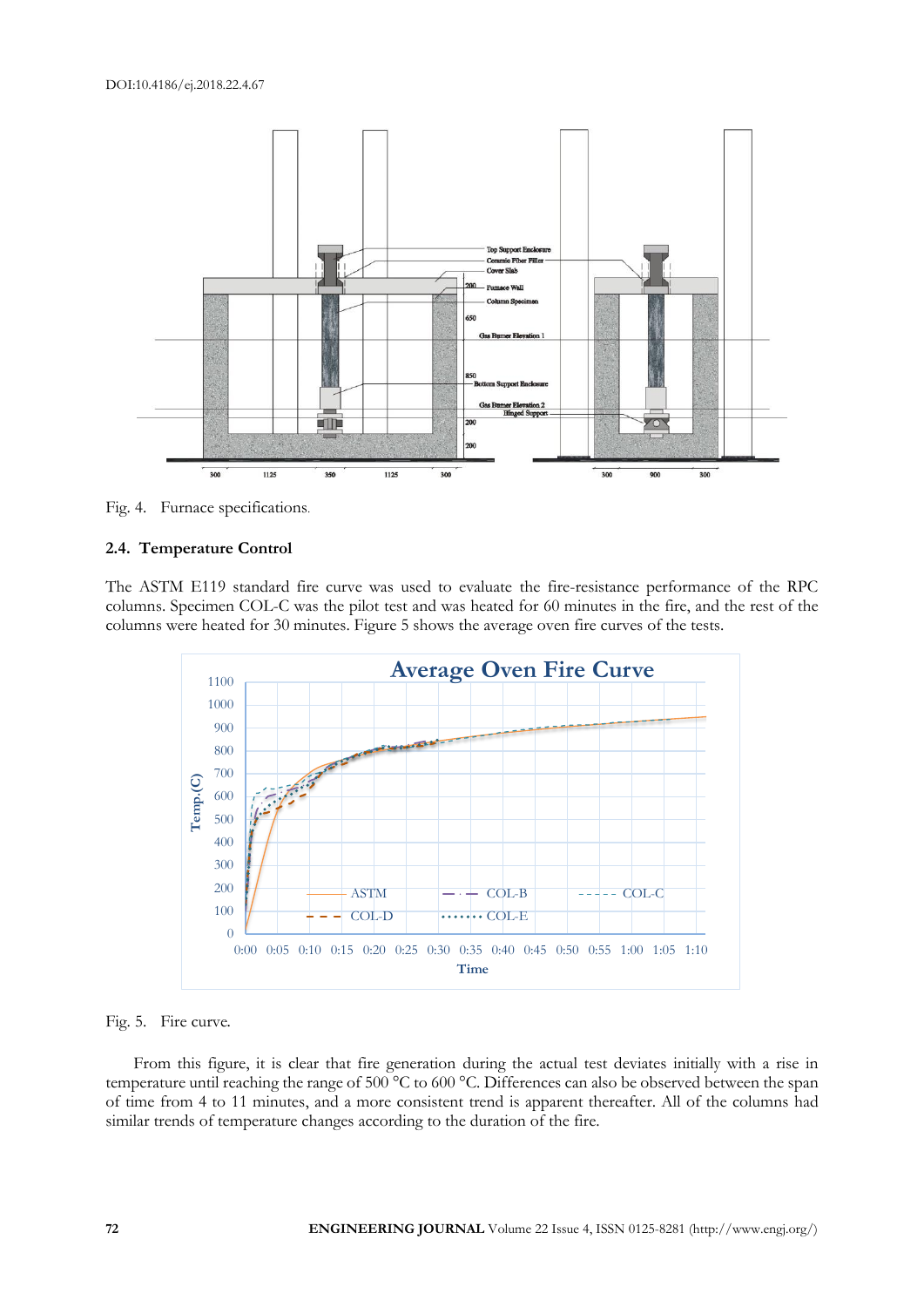

Fig. 4. Furnace specifications.

## **2.4. Temperature Control**

The ASTM E119 standard fire curve was used to evaluate the fire-resistance performance of the RPC columns. Specimen COL-C was the pilot test and was heated for 60 minutes in the fire, and the rest of the columns were heated for 30 minutes. Figure 5 shows the average oven fire curves of the tests.



Fig. 5. Fire curve**.**

From this figure, it is clear that fire generation during the actual test deviates initially with a rise in temperature until reaching the range of 500 °C to 600 °C. Differences can also be observed between the span of time from 4 to 11 minutes, and a more consistent trend is apparent thereafter. All of the columns had similar trends of temperature changes according to the duration of the fire.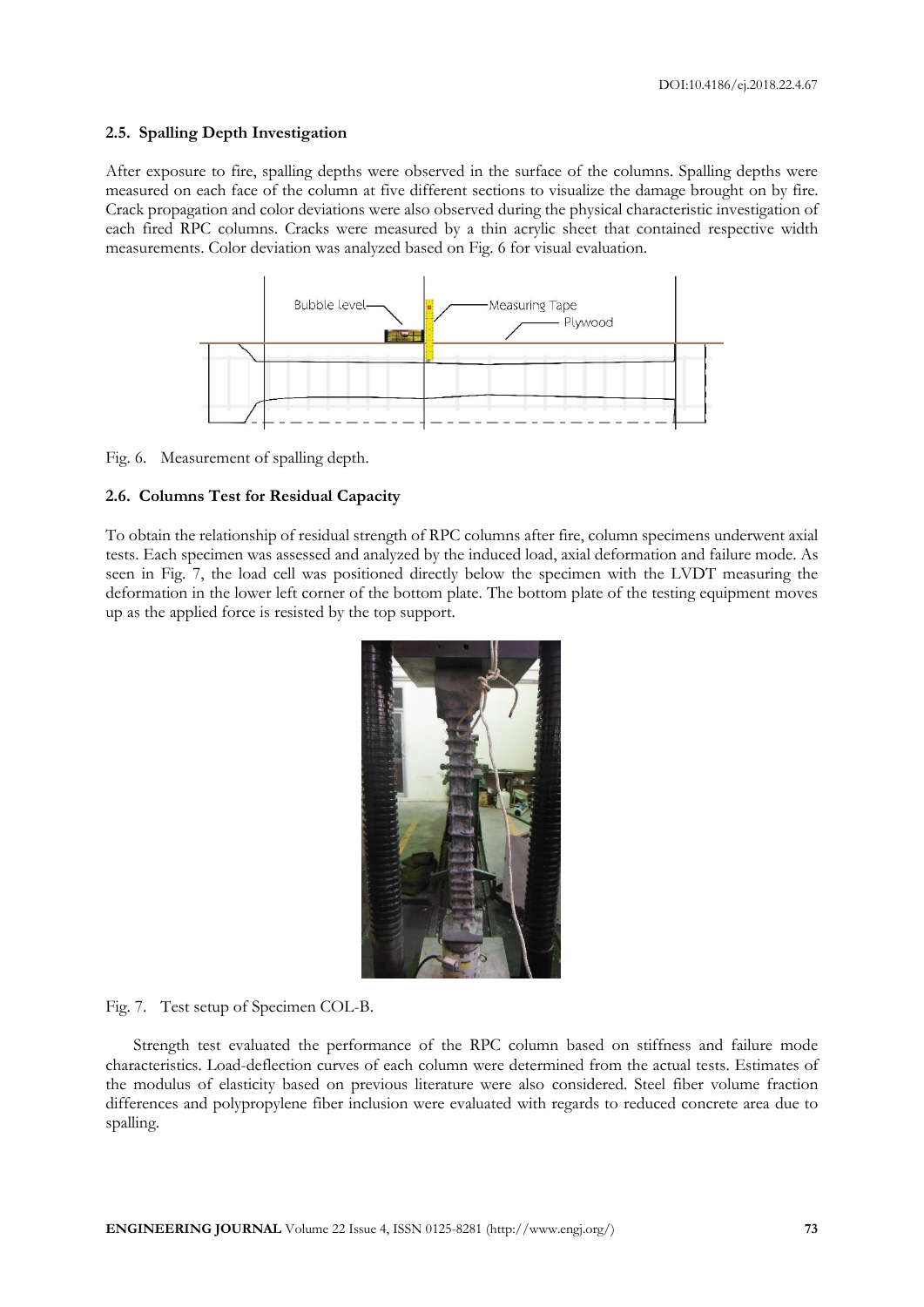#### **2.5. Spalling Depth Investigation**

After exposure to fire, spalling depths were observed in the surface of the columns. Spalling depths were measured on each face of the column at five different sections to visualize the damage brought on by fire. Crack propagation and color deviations were also observed during the physical characteristic investigation of each fired RPC columns. Cracks were measured by a thin acrylic sheet that contained respective width measurements. Color deviation was analyzed based on Fig. 6 for visual evaluation.



Fig. 6. Measurement of spalling depth.

#### **2.6. Columns Test for Residual Capacity**

To obtain the relationship of residual strength of RPC columns after fire, column specimens underwent axial tests. Each specimen was assessed and analyzed by the induced load, axial deformation and failure mode. As seen in Fig. 7, the load cell was positioned directly below the specimen with the LVDT measuring the deformation in the lower left corner of the bottom plate. The bottom plate of the testing equipment moves up as the applied force is resisted by the top support.



Fig. 7. Test setup of Specimen COL-B.

Strength test evaluated the performance of the RPC column based on stiffness and failure mode characteristics. Load-deflection curves of each column were determined from the actual tests. Estimates of the modulus of elasticity based on previous literature were also considered. Steel fiber volume fraction differences and polypropylene fiber inclusion were evaluated with regards to reduced concrete area due to spalling.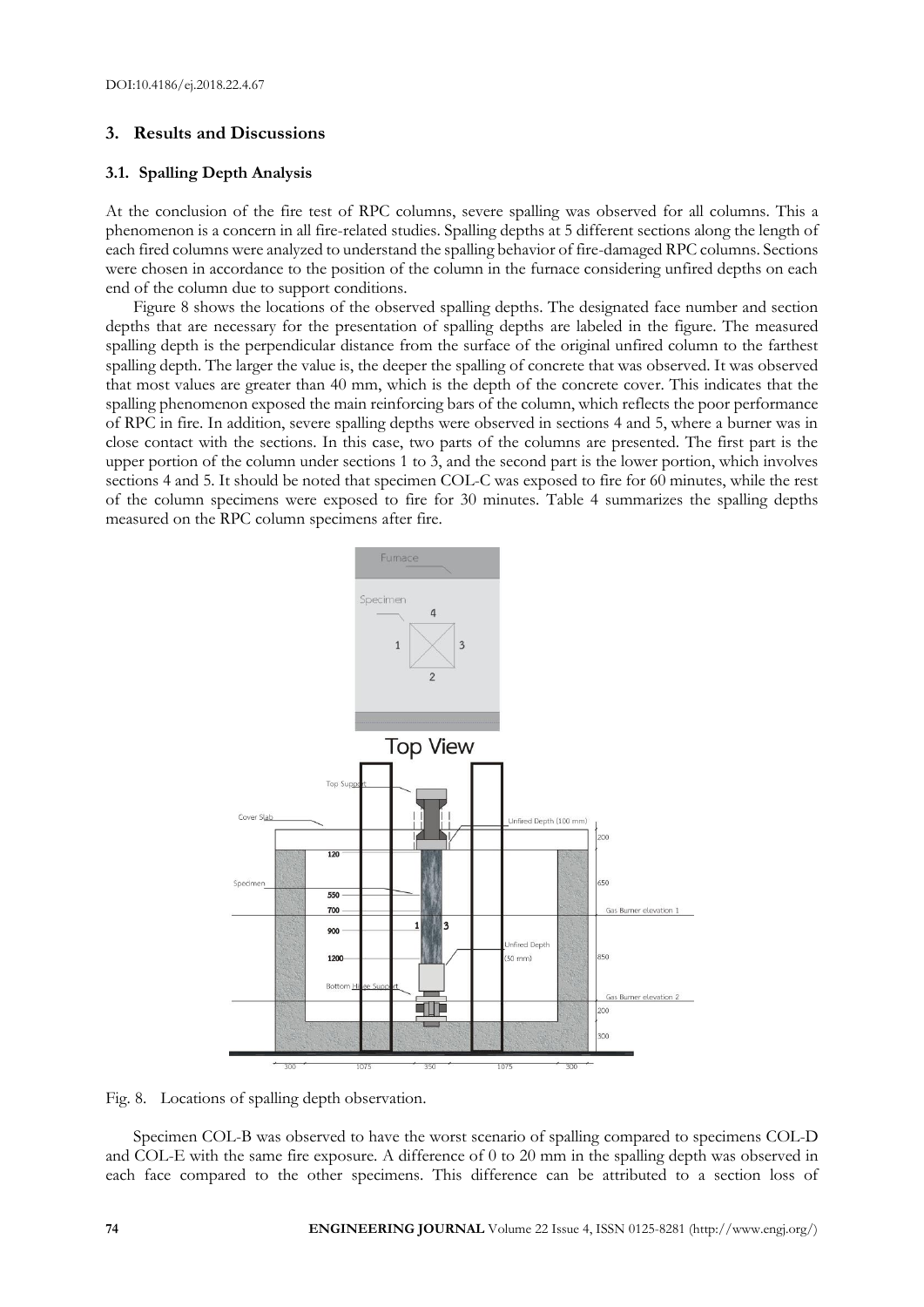## **3. Results and Discussions**

### **3.1. Spalling Depth Analysis**

At the conclusion of the fire test of RPC columns, severe spalling was observed for all columns. This a phenomenon is a concern in all fire-related studies. Spalling depths at 5 different sections along the length of each fired columns were analyzed to understand the spalling behavior of fire-damaged RPC columns. Sections were chosen in accordance to the position of the column in the furnace considering unfired depths on each end of the column due to support conditions.

Figure 8 shows the locations of the observed spalling depths. The designated face number and section depths that are necessary for the presentation of spalling depths are labeled in the figure. The measured spalling depth is the perpendicular distance from the surface of the original unfired column to the farthest spalling depth. The larger the value is, the deeper the spalling of concrete that was observed. It was observed that most values are greater than 40 mm, which is the depth of the concrete cover. This indicates that the spalling phenomenon exposed the main reinforcing bars of the column, which reflects the poor performance of RPC in fire. In addition, severe spalling depths were observed in sections 4 and 5, where a burner was in close contact with the sections. In this case, two parts of the columns are presented. The first part is the upper portion of the column under sections 1 to 3, and the second part is the lower portion, which involves sections 4 and 5. It should be noted that specimen COL-C was exposed to fire for 60 minutes, while the rest of the column specimens were exposed to fire for 30 minutes. Table 4 summarizes the spalling depths measured on the RPC column specimens after fire.



Fig. 8. Locations of spalling depth observation.

Specimen COL-B was observed to have the worst scenario of spalling compared to specimens COL-D and COL-E with the same fire exposure. A difference of 0 to 20 mm in the spalling depth was observed in each face compared to the other specimens. This difference can be attributed to a section loss of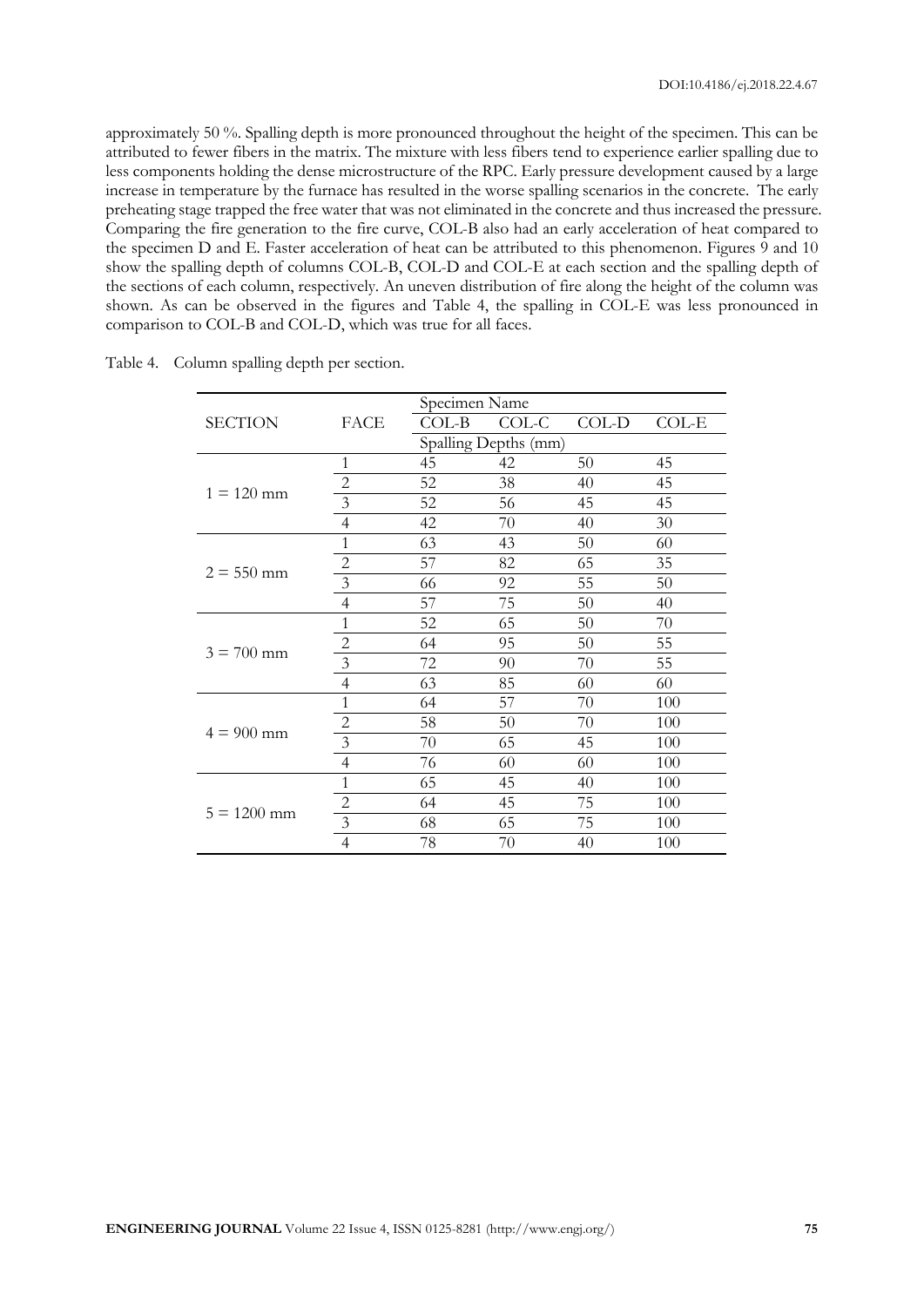approximately 50 %. Spalling depth is more pronounced throughout the height of the specimen. This can be attributed to fewer fibers in the matrix. The mixture with less fibers tend to experience earlier spalling due to less components holding the dense microstructure of the RPC. Early pressure development caused by a large increase in temperature by the furnace has resulted in the worse spalling scenarios in the concrete. The early preheating stage trapped the free water that was not eliminated in the concrete and thus increased the pressure. Comparing the fire generation to the fire curve, COL-B also had an early acceleration of heat compared to the specimen D and E. Faster acceleration of heat can be attributed to this phenomenon. Figures 9 and 10 show the spalling depth of columns COL-B, COL-D and COL-E at each section and the spalling depth of the sections of each column, respectively. An uneven distribution of fire along the height of the column was shown. As can be observed in the figures and Table 4, the spalling in COL-E was less pronounced in comparison to COL-B and COL-D, which was true for all faces.

|                |                         | Specimen Name |                      |       |         |  |
|----------------|-------------------------|---------------|----------------------|-------|---------|--|
| <b>SECTION</b> | FACE                    | COL-B         | COL-C                | COL-D | $COL-E$ |  |
|                |                         |               | Spalling Depths (mm) |       |         |  |
|                | 1                       | 45            | 42                   | 50    | 45      |  |
|                | $\overline{c}$          | 52            | 38                   | 40    | 45      |  |
| $1 = 120$ mm   | $\overline{\mathbf{3}}$ | 52            | 56                   | 45    | 45      |  |
|                | $\overline{4}$          | 42            | 70                   | 40    | 30      |  |
|                | $\mathbf{1}$            | 63            | 43                   | 50    | 60      |  |
|                | $\overline{c}$          | 57            | 82                   | 65    | 35      |  |
| $2 = 550$ mm   | $\overline{3}$          | 66            | 92                   | 55    | 50      |  |
|                | $\overline{4}$          | 57            | 75                   | 50    | 40      |  |
|                | 1                       | 52            | 65                   | 50    | 70      |  |
|                | $\overline{c}$          | 64            | 95                   | 50    | 55      |  |
| $3 = 700$ mm   | $\overline{\mathbf{3}}$ | 72            | 90                   | 70    | 55      |  |
|                | $\overline{4}$          | 63            | 85                   | 60    | 60      |  |
|                | $\mathbf{1}$            | 64            | 57                   | 70    | 100     |  |
|                | $\overline{c}$          | 58            | 50                   | 70    | 100     |  |
| $4 = 900$ mm   | $\overline{\mathbf{3}}$ | 70            | 65                   | 45    | 100     |  |
|                | $\overline{4}$          | 76            | 60                   | 60    | 100     |  |
|                | 1                       | 65            | 45                   | 40    | 100     |  |
|                | $\overline{2}$          | 64            | 45                   | 75    | 100     |  |
| $5 = 1200$ mm  | $\overline{3}$          | 68            | 65                   | 75    | 100     |  |
|                | $\overline{4}$          | 78            | 70                   | 40    | 100     |  |

Table 4. Column spalling depth per section.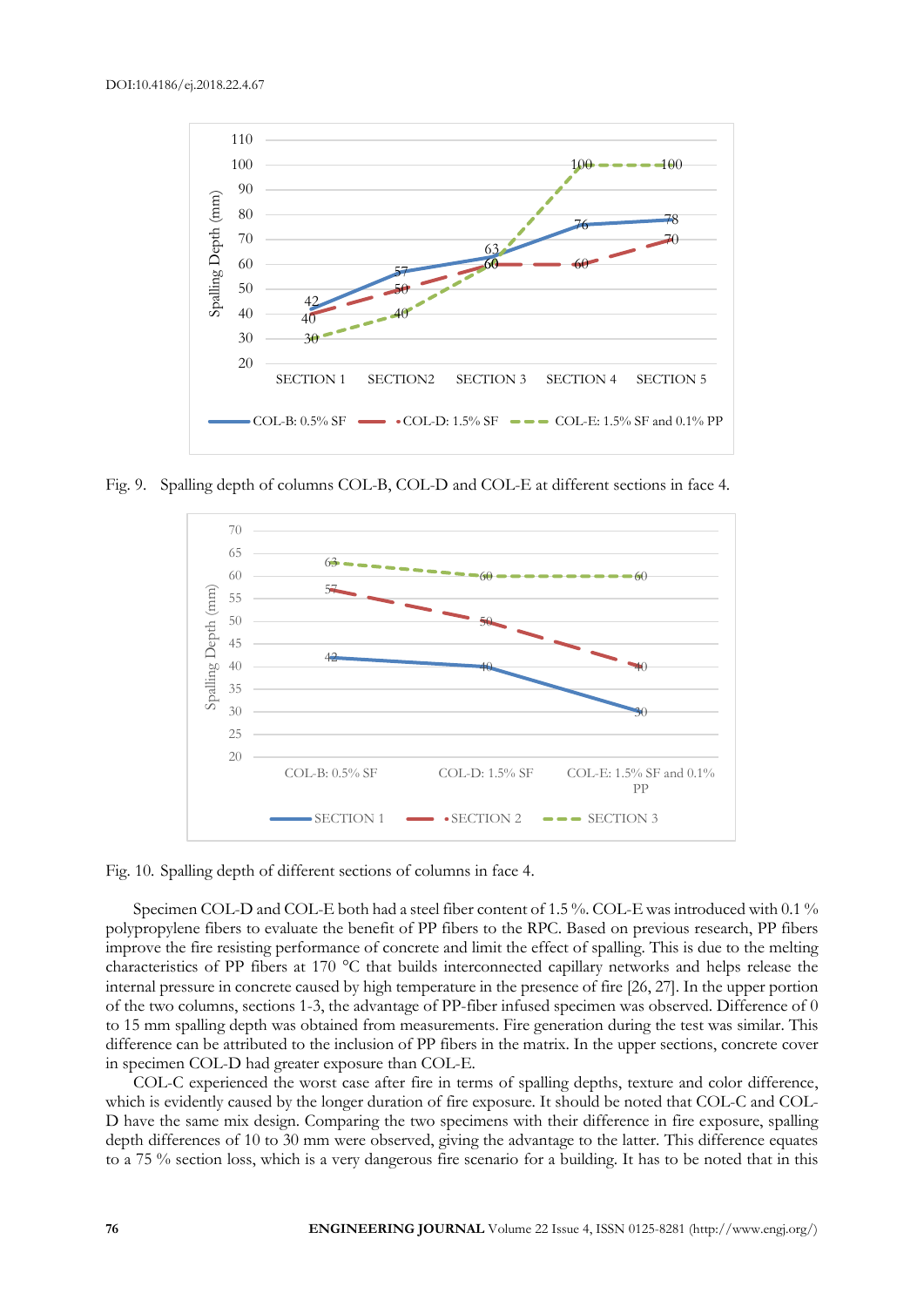

Fig. 9. Spalling depth of columns COL-B, COL-D and COL-E at different sections in face 4.



Fig. 10. Spalling depth of different sections of columns in face 4.

Specimen COL-D and COL-E both had a steel fiber content of 1.5 %. COL-E was introduced with 0.1 % polypropylene fibers to evaluate the benefit of PP fibers to the RPC. Based on previous research, PP fibers improve the fire resisting performance of concrete and limit the effect of spalling. This is due to the melting characteristics of PP fibers at 170 °C that builds interconnected capillary networks and helps release the internal pressure in concrete caused by high temperature in the presence of fire [26, 27]. In the upper portion of the two columns, sections 1-3, the advantage of PP-fiber infused specimen was observed. Difference of 0 to 15 mm spalling depth was obtained from measurements. Fire generation during the test was similar. This difference can be attributed to the inclusion of PP fibers in the matrix. In the upper sections, concrete cover in specimen COL-D had greater exposure than COL-E.

COL-C experienced the worst case after fire in terms of spalling depths, texture and color difference, which is evidently caused by the longer duration of fire exposure. It should be noted that COL-C and COL-D have the same mix design. Comparing the two specimens with their difference in fire exposure, spalling depth differences of 10 to 30 mm were observed, giving the advantage to the latter. This difference equates to a 75 % section loss, which is a very dangerous fire scenario for a building. It has to be noted that in this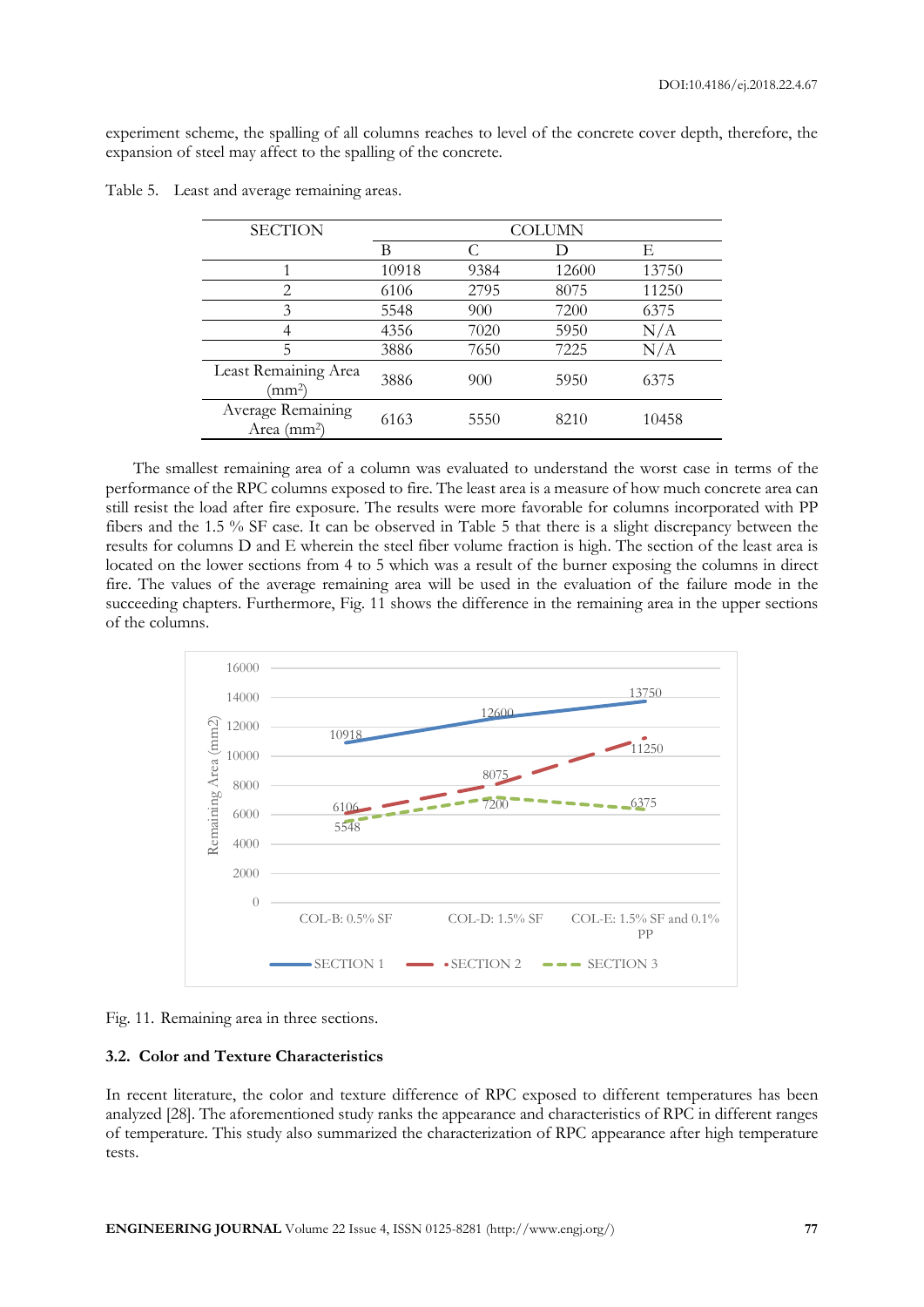experiment scheme, the spalling of all columns reaches to level of the concrete cover depth, therefore, the expansion of steel may affect to the spalling of the concrete.

| <b>SECTION</b>                               | <b>COLUMN</b> |      |       |       |  |
|----------------------------------------------|---------------|------|-------|-------|--|
|                                              | В             |      |       | F.    |  |
|                                              | 10918         | 9384 | 12600 | 13750 |  |
| $\overline{2}$                               | 6106          | 2795 | 8075  | 11250 |  |
| 3                                            | 5548          | 900  | 7200  | 6375  |  |
|                                              | 4356          | 7020 | 5950  | N/A   |  |
| 5                                            | 3886          | 7650 | 7225  | N/A   |  |
| Least Remaining Area<br>$\rm (mm^2)$         | 3886          | 900  | 5950  | 6375  |  |
| Average Remaining<br>Area (mm <sup>2</sup> ) | 6163          | 5550 | 8210  | 10458 |  |

Table 5. Least and average remaining areas.

The smallest remaining area of a column was evaluated to understand the worst case in terms of the performance of the RPC columns exposed to fire. The least area is a measure of how much concrete area can still resist the load after fire exposure. The results were more favorable for columns incorporated with PP fibers and the 1.5 % SF case. It can be observed in Table 5 that there is a slight discrepancy between the results for columns D and E wherein the steel fiber volume fraction is high. The section of the least area is located on the lower sections from 4 to 5 which was a result of the burner exposing the columns in direct fire. The values of the average remaining area will be used in the evaluation of the failure mode in the succeeding chapters. Furthermore, Fig. 11 shows the difference in the remaining area in the upper sections of the columns.



Fig. 11. Remaining area in three sections.

## **3.2. Color and Texture Characteristics**

In recent literature, the color and texture difference of RPC exposed to different temperatures has been analyzed [28]. The aforementioned study ranks the appearance and characteristics of RPC in different ranges of temperature. This study also summarized the characterization of RPC appearance after high temperature tests.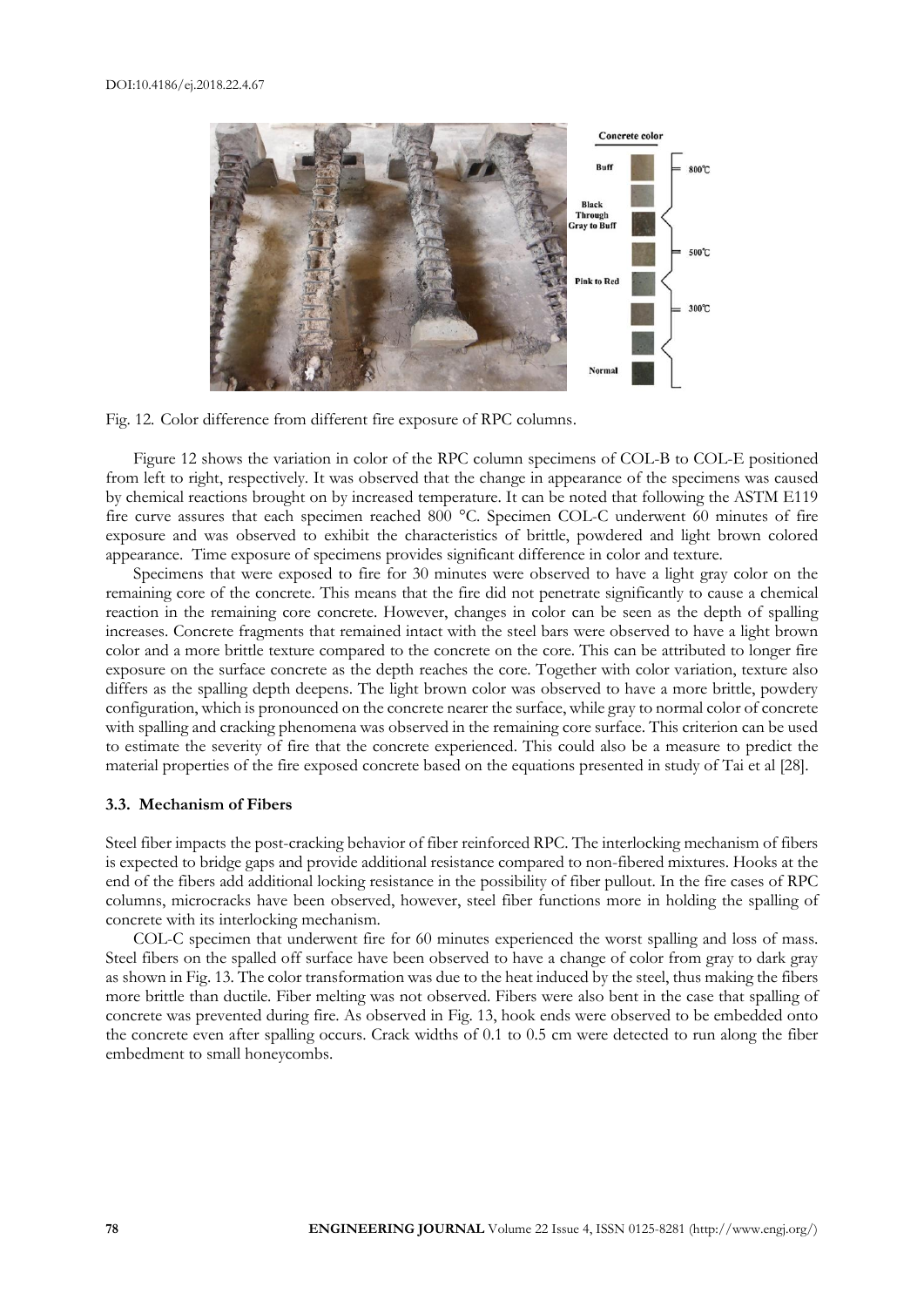



Figure 12 shows the variation in color of the RPC column specimens of COL-B to COL-E positioned from left to right, respectively. It was observed that the change in appearance of the specimens was caused by chemical reactions brought on by increased temperature. It can be noted that following the ASTM E119 fire curve assures that each specimen reached 800 °C. Specimen COL-C underwent 60 minutes of fire exposure and was observed to exhibit the characteristics of brittle, powdered and light brown colored appearance. Time exposure of specimens provides significant difference in color and texture.

Specimens that were exposed to fire for 30 minutes were observed to have a light gray color on the remaining core of the concrete. This means that the fire did not penetrate significantly to cause a chemical reaction in the remaining core concrete. However, changes in color can be seen as the depth of spalling increases. Concrete fragments that remained intact with the steel bars were observed to have a light brown color and a more brittle texture compared to the concrete on the core. This can be attributed to longer fire exposure on the surface concrete as the depth reaches the core. Together with color variation, texture also differs as the spalling depth deepens. The light brown color was observed to have a more brittle, powdery configuration, which is pronounced on the concrete nearer the surface, while gray to normal color of concrete with spalling and cracking phenomena was observed in the remaining core surface. This criterion can be used to estimate the severity of fire that the concrete experienced. This could also be a measure to predict the material properties of the fire exposed concrete based on the equations presented in study of Tai et al [28].

#### **3.3. Mechanism of Fibers**

Steel fiber impacts the post-cracking behavior of fiber reinforced RPC. The interlocking mechanism of fibers is expected to bridge gaps and provide additional resistance compared to non-fibered mixtures. Hooks at the end of the fibers add additional locking resistance in the possibility of fiber pullout. In the fire cases of RPC columns, microcracks have been observed, however, steel fiber functions more in holding the spalling of concrete with its interlocking mechanism.

COL-C specimen that underwent fire for 60 minutes experienced the worst spalling and loss of mass. Steel fibers on the spalled off surface have been observed to have a change of color from gray to dark gray as shown in Fig. 13. The color transformation was due to the heat induced by the steel, thus making the fibers more brittle than ductile. Fiber melting was not observed. Fibers were also bent in the case that spalling of concrete was prevented during fire. As observed in Fig. 13, hook ends were observed to be embedded onto the concrete even after spalling occurs. Crack widths of 0.1 to 0.5 cm were detected to run along the fiber embedment to small honeycombs.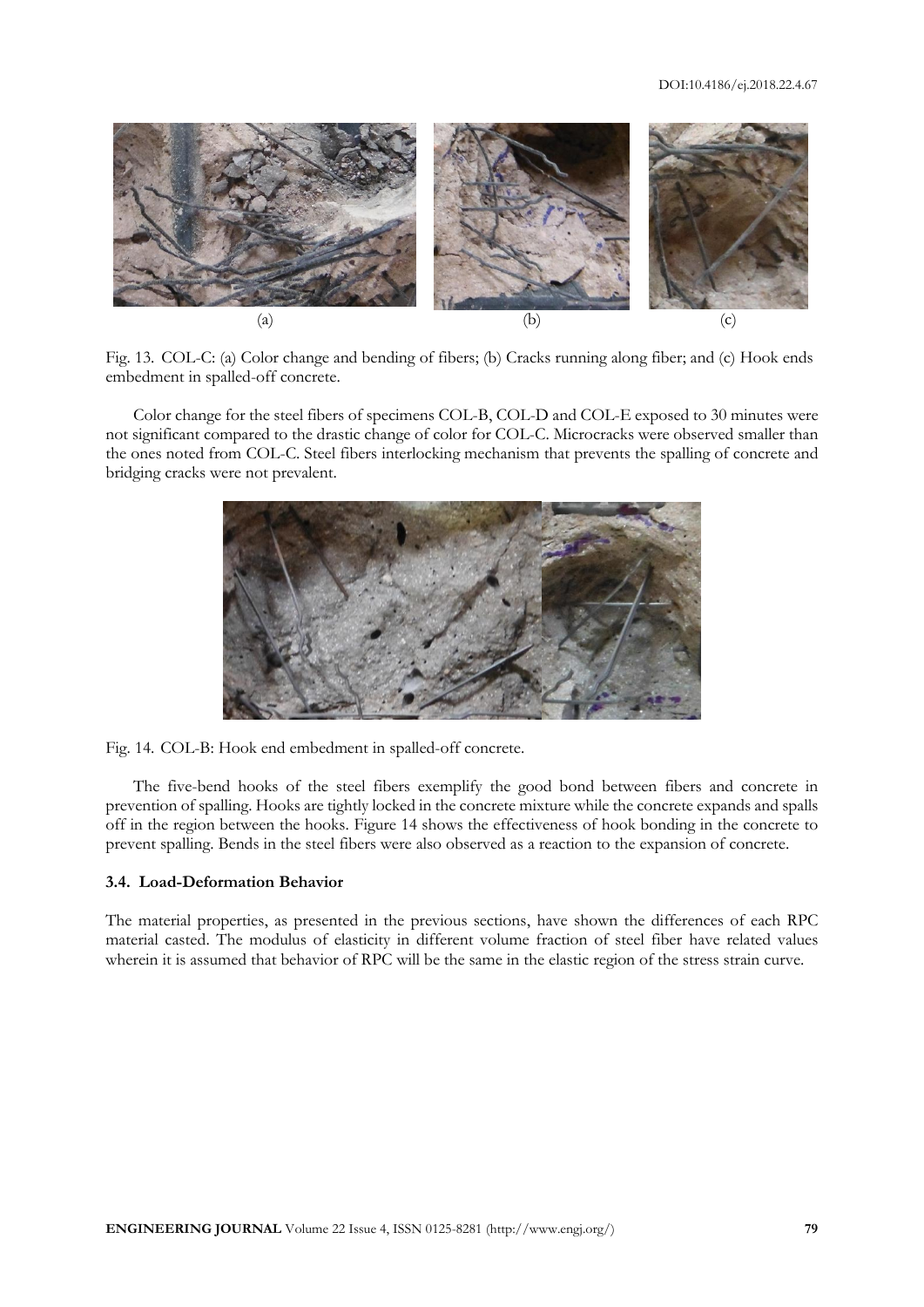#### DOI:10.4186/ej.2018.22.4.67



Fig. 13. COL-C: (a) Color change and bending of fibers; (b) Cracks running along fiber; and (c) Hook ends embedment in spalled-off concrete.

Color change for the steel fibers of specimens COL-B, COL-D and COL-E exposed to 30 minutes were not significant compared to the drastic change of color for COL-C. Microcracks were observed smaller than the ones noted from COL-C. Steel fibers interlocking mechanism that prevents the spalling of concrete and bridging cracks were not prevalent.



Fig. 14. COL-B: Hook end embedment in spalled-off concrete.

The five-bend hooks of the steel fibers exemplify the good bond between fibers and concrete in prevention of spalling. Hooks are tightly locked in the concrete mixture while the concrete expands and spalls off in the region between the hooks. Figure 14 shows the effectiveness of hook bonding in the concrete to prevent spalling. Bends in the steel fibers were also observed as a reaction to the expansion of concrete.

## **3.4. Load-Deformation Behavior**

The material properties, as presented in the previous sections, have shown the differences of each RPC material casted. The modulus of elasticity in different volume fraction of steel fiber have related values wherein it is assumed that behavior of RPC will be the same in the elastic region of the stress strain curve.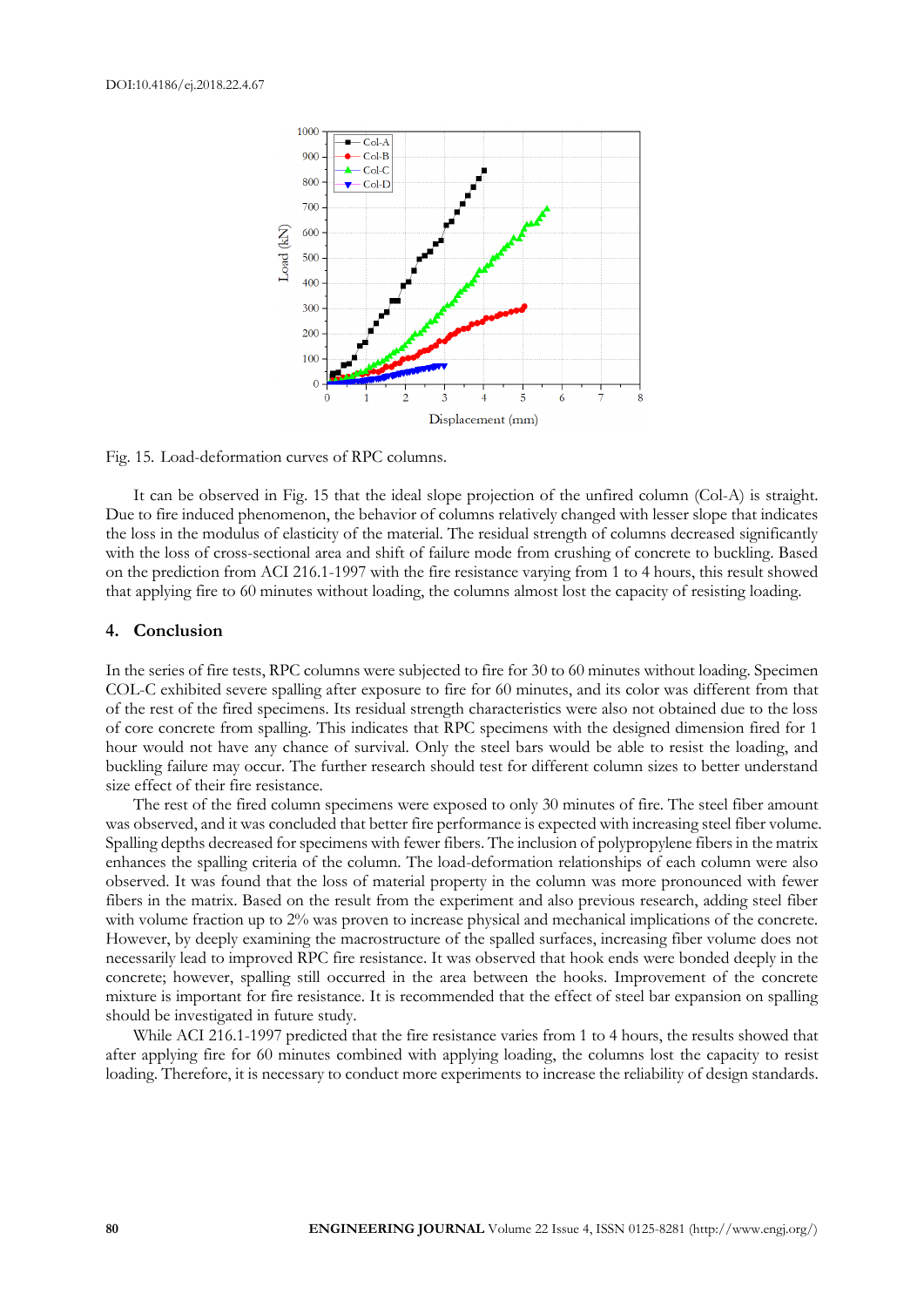

Fig. 15. Load-deformation curves of RPC columns.

It can be observed in Fig. 15 that the ideal slope projection of the unfired column (Col-A) is straight. Due to fire induced phenomenon, the behavior of columns relatively changed with lesser slope that indicates the loss in the modulus of elasticity of the material. The residual strength of columns decreased significantly with the loss of cross-sectional area and shift of failure mode from crushing of concrete to buckling. Based on the prediction from ACI 216.1-1997 with the fire resistance varying from 1 to 4 hours, this result showed that applying fire to 60 minutes without loading, the columns almost lost the capacity of resisting loading.

#### **4. Conclusion**

In the series of fire tests, RPC columns were subjected to fire for 30 to 60 minutes without loading. Specimen COL-C exhibited severe spalling after exposure to fire for 60 minutes, and its color was different from that of the rest of the fired specimens. Its residual strength characteristics were also not obtained due to the loss of core concrete from spalling. This indicates that RPC specimens with the designed dimension fired for 1 hour would not have any chance of survival. Only the steel bars would be able to resist the loading, and buckling failure may occur. The further research should test for different column sizes to better understand size effect of their fire resistance.

The rest of the fired column specimens were exposed to only 30 minutes of fire. The steel fiber amount was observed, and it was concluded that better fire performance is expected with increasing steel fiber volume. Spalling depths decreased for specimens with fewer fibers. The inclusion of polypropylene fibers in the matrix enhances the spalling criteria of the column. The load-deformation relationships of each column were also observed. It was found that the loss of material property in the column was more pronounced with fewer fibers in the matrix. Based on the result from the experiment and also previous research, adding steel fiber with volume fraction up to 2% was proven to increase physical and mechanical implications of the concrete. However, by deeply examining the macrostructure of the spalled surfaces, increasing fiber volume does not necessarily lead to improved RPC fire resistance. It was observed that hook ends were bonded deeply in the concrete; however, spalling still occurred in the area between the hooks. Improvement of the concrete mixture is important for fire resistance. It is recommended that the effect of steel bar expansion on spalling should be investigated in future study.

While ACI 216.1-1997 predicted that the fire resistance varies from 1 to 4 hours, the results showed that after applying fire for 60 minutes combined with applying loading, the columns lost the capacity to resist loading. Therefore, it is necessary to conduct more experiments to increase the reliability of design standards.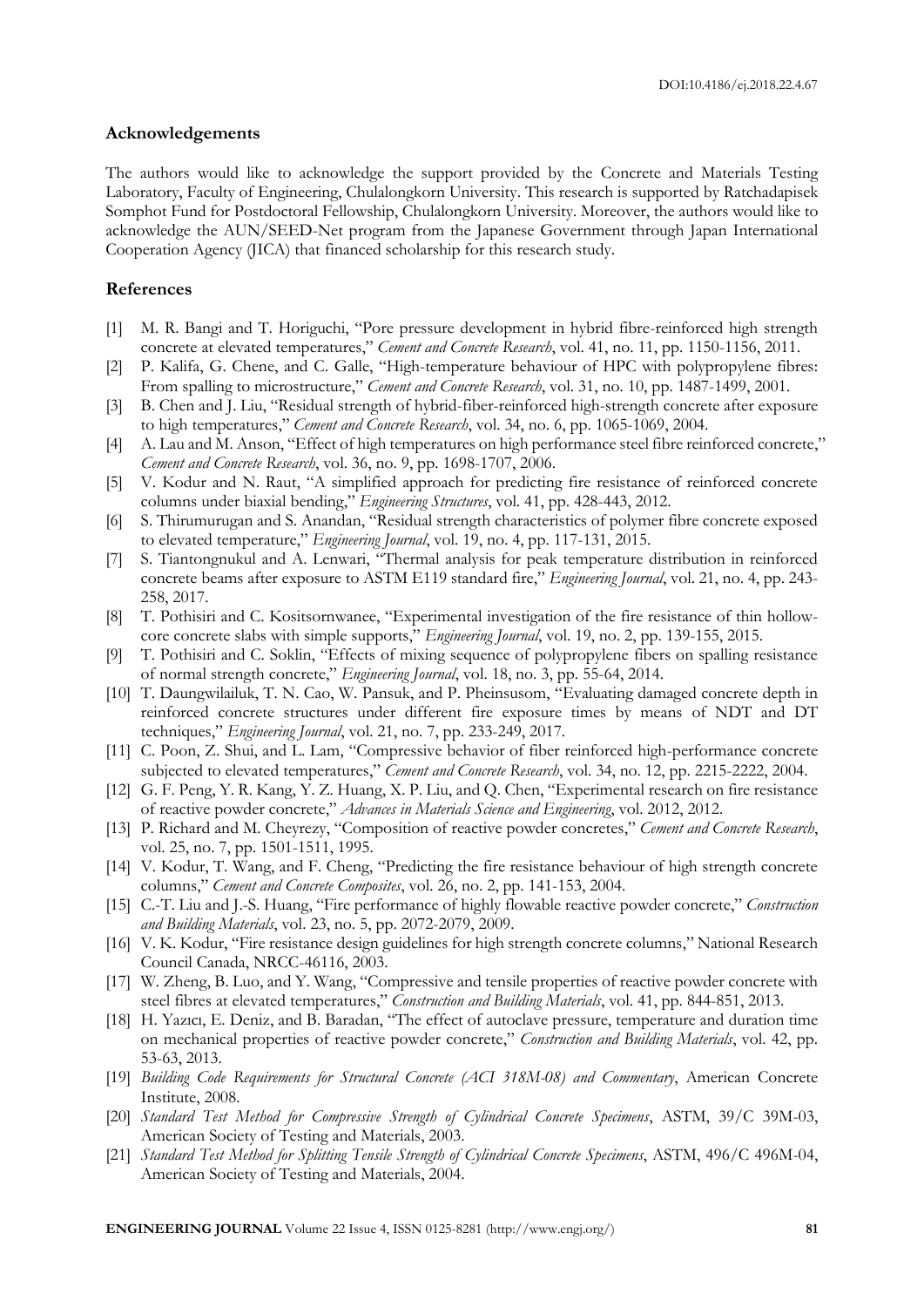#### **Acknowledgements**

The authors would like to acknowledge the support provided by the Concrete and Materials Testing Laboratory, Faculty of Engineering, Chulalongkorn University. This research is supported by Ratchadapisek Somphot Fund for Postdoctoral Fellowship, Chulalongkorn University. Moreover, the authors would like to acknowledge the AUN/SEED-Net program from the Japanese Government through Japan International Cooperation Agency (JICA) that financed scholarship for this research study.

## **References**

- [1] M. R. Bangi and T. Horiguchi, "Pore pressure development in hybrid fibre-reinforced high strength concrete at elevated temperatures," *Cement and Concrete Research*, vol. 41, no. 11, pp. 1150-1156, 2011.
- [2] P. Kalifa, G. Chene, and C. Galle, "High-temperature behaviour of HPC with polypropylene fibres: From spalling to microstructure," *Cement and Concrete Research*, vol. 31, no. 10, pp. 1487-1499, 2001.
- [3] B. Chen and J. Liu, "Residual strength of hybrid-fiber-reinforced high-strength concrete after exposure to high temperatures," *Cement and Concrete Research*, vol. 34, no. 6, pp. 1065-1069, 2004.
- [4] A. Lau and M. Anson, "Effect of high temperatures on high performance steel fibre reinforced concrete," *Cement and Concrete Research*, vol. 36, no. 9, pp. 1698-1707, 2006.
- [5] V. Kodur and N. Raut, "A simplified approach for predicting fire resistance of reinforced concrete columns under biaxial bending," *Engineering Structures*, vol. 41, pp. 428-443, 2012.
- [6] S. Thirumurugan and S. Anandan, "Residual strength characteristics of polymer fibre concrete exposed to elevated temperature," *Engineering Journal*, vol. 19, no. 4, pp. 117-131, 2015.
- [7] S. Tiantongnukul and A. Lenwari, "Thermal analysis for peak temperature distribution in reinforced concrete beams after exposure to ASTM E119 standard fire," *Engineering Journal*, vol. 21, no. 4, pp. 243- 258, 2017.
- [8] T. Pothisiri and C. Kositsornwanee, "Experimental investigation of the fire resistance of thin hollowcore concrete slabs with simple supports," *Engineering Journal*, vol. 19, no. 2, pp. 139-155, 2015.
- [9] T. Pothisiri and C. Soklin, "Effects of mixing sequence of polypropylene fibers on spalling resistance of normal strength concrete," *Engineering Journal*, vol. 18, no. 3, pp. 55-64, 2014.
- [10] T. Daungwilailuk, T. N. Cao, W. Pansuk, and P. Pheinsusom, "Evaluating damaged concrete depth in reinforced concrete structures under different fire exposure times by means of NDT and DT techniques," *Engineering Journal*, vol. 21, no. 7, pp. 233-249, 2017.
- [11] C. Poon, Z. Shui, and L. Lam, "Compressive behavior of fiber reinforced high-performance concrete subjected to elevated temperatures," *Cement and Concrete Research*, vol. 34, no. 12, pp. 2215-2222, 2004.
- [12] G. F. Peng, Y. R. Kang, Y. Z. Huang, X. P. Liu, and Q. Chen, "Experimental research on fire resistance of reactive powder concrete," *Advances in Materials Science and Engineering*, vol. 2012, 2012.
- [13] P. Richard and M. Cheyrezy, "Composition of reactive powder concretes," *Cement and Concrete Research*, vol. 25, no. 7, pp. 1501-1511, 1995.
- [14] V. Kodur, T. Wang, and F. Cheng, "Predicting the fire resistance behaviour of high strength concrete columns," *Cement and Concrete Composites*, vol. 26, no. 2, pp. 141-153, 2004.
- [15] C.-T. Liu and J.-S. Huang, "Fire performance of highly flowable reactive powder concrete," *Construction and Building Materials*, vol. 23, no. 5, pp. 2072-2079, 2009.
- [16] V. K. Kodur, "Fire resistance design guidelines for high strength concrete columns," National Research Council Canada, NRCC-46116, 2003.
- [17] W. Zheng, B. Luo, and Y. Wang, "Compressive and tensile properties of reactive powder concrete with steel fibres at elevated temperatures," *Construction and Building Materials*, vol. 41, pp. 844-851, 2013.
- [18] H. Yazıcı, E. Deniz, and B. Baradan, "The effect of autoclave pressure, temperature and duration time on mechanical properties of reactive powder concrete," *Construction and Building Materials*, vol. 42, pp. 53-63, 2013.
- [19] *Building Code Requirements for Structural Concrete (ACI 318M-08) and Commentary*, American Concrete Institute, 2008.
- [20] *Standard Test Method for Compressive Strength of Cylindrical Concrete Specimens*, ASTM, 39/C 39M-03, American Society of Testing and Materials, 2003.
- [21] *Standard Test Method for Splitting Tensile Strength of Cylindrical Concrete Specimens*, ASTM, 496/C 496M-04, American Society of Testing and Materials, 2004.